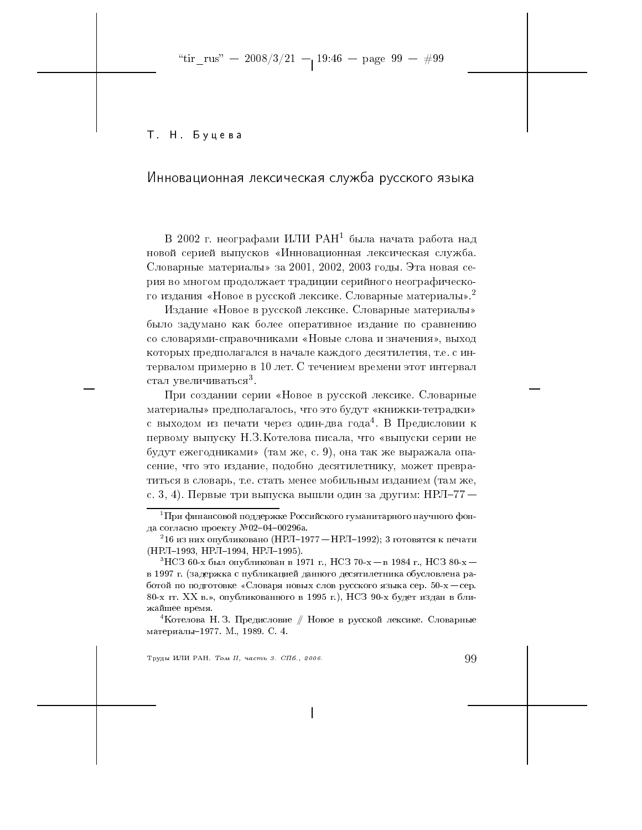"tir\_rus" - 2008/3/21 - 19:46 - page 99 - #99

Т. Н. Буцева

# Инновационная лексическая служба русского языка

В 2002 г. неографами ИЛИ РАН<sup>1</sup> была начата работа над новой серией выпусков «Инновационная лексическая служба. Словарные материалы» за 2001, 2002, 2003 годы. Эта новая серия во многом продолжает традиции серийного неографического издания «Новое в русской лексике. Словарные материалы».<sup>2</sup>

Издание «Новое в русской лексике. Словарные материалы» было задумано как более оперативное издание по сравнению со словарями-справочниками «Новые слова и значения», выход которых предполагался в начале каждого десятилетия, т.е. с интервалом примерно в 10 лет. С течением времени этот интервал стал увеличиваться<sup>3</sup>.

При создании серии «Новое в русской лексике. Словарные материалы» предполагалось, что это будут «книжки-тетрадки» с выходом из печати через один-два года<sup>4</sup>. В Предисловии к первому выпуску Н.З. Котелова писала, что «выпуски серии не будут ежегодниками» (там же, с. 9), она так же выражала опасение, что это издание, подобно десятилетнику, может превратиться в словарь, т.е. стать менее мобильным изданием (там же, с. 3, 4). Первые три выпуска вышли один за другим: НРЛ-77 —

Труды ИЛИ РАН. Том II, часть 3. СПб., 2006.

 $^1\Pi$ ри финансовой поддержке Российского гуманитарного научного фонда согласно проекту №02-04-00296а.

 $^216$  из них опубликовано (НРЛ–1977 — НРЛ–1992); 3 готовятся к печати (НРЛ-1993, НРЛ-1994, НРЛ-1995).

 $^3{\rm H}{\rm C}3$  60-х был опубликован в 1971 г., НСЗ 70-х $-$ в 1984 г., НСЗ 80-х $$ в 1997 г. (задержка с публикацией данного десятилетника обусловлена работой по подготовке «Словаря новых слов русского языка сер. 50-х - сер. 80-х гг. ХХ в.», опубликованного в 1995 г.), НСЗ 90-х будет издан в ближайшее время.

<sup>&</sup>lt;sup>4</sup> Котелова Н. З. Предисловие // Новое в русской лексике. Словарные материалы-1977. М., 1989. С. 4.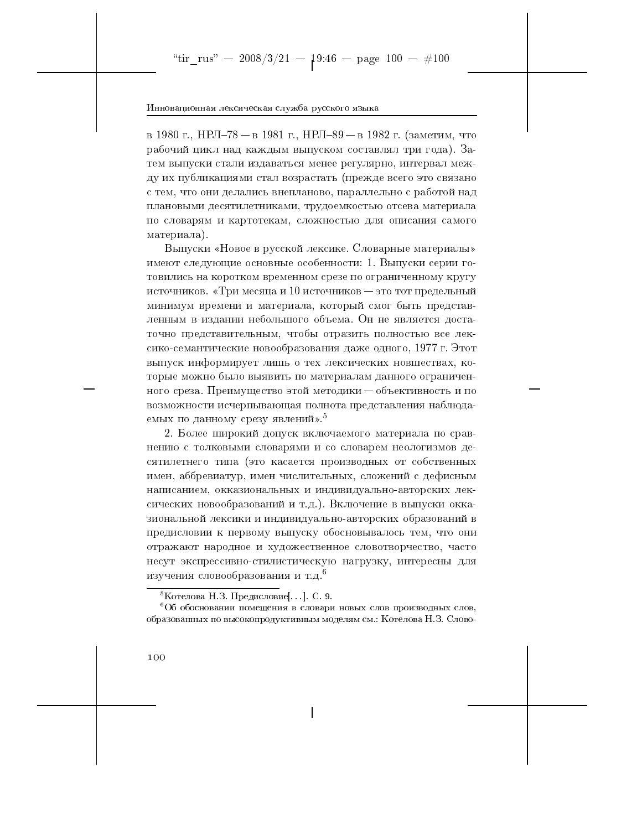в 1980 г., НРЛ-78 – в 1981 г., НРЛ-89 – в 1982 г. (заметим, что рабочий цикл над каждым выпуском составлял три года). Затем выпуски стали издаваться менее регулярно, интервал между их публикациями стал возрастать (прежде всего это связано с тем, что они делались внепланово, параллельно с работой над плановыми десятилетниками, трудоемкостью отсева материала по словарям и картотекам, сложностью для описания самого материала).

Выпуски «Новое в русской лексике. Словарные материалы» имеют следующие основные особенности: 1. Выпуски серии готовились на коротком временном срезе по ограниченному кругу источников. «Три месяца и 10 источников – это тот предельный минимум времени и материала, который смог быть представленным в издании небольшого объема. Он не является достаточно представительным, чтобы отразить полностью все лексико-семантические новообразования даже одного, 1977 г. Этот выпуск информирует лишь о тех лексических новшествах, которые можно было выявить по материалам данного ограниченного среза. Преимущество этой методики - объективность и по возможности исчерпывающая полнота представления наблюдаемых по данному срезу явлений».<sup>5</sup>

2. Более широкий допуск включаемого материала по сравнению с толковыми словарями и со словарем неологизмов десятилетнего типа (это касается производных от собственных имен, аббревиатур, имен числительных, сложений с дефисным написанием, окказиональных и индивидуально-авторских лексических новообразований и т.д.). Включение в выпуски окказиональной лексики и индивидуально-авторских образований в предисловии к первому выпуску обосновывалось тем, что они отражают народное и художественное словотворчество, часто несут экспрессивно-стилистическую нагрузку, интересны для изучения словообразования и т.д.<sup>6</sup>

<sup>&</sup>lt;sup>5</sup>Котелова Н.З. Предисловие[...]. С. 9.

 $606$  обосновании помещения в словари новых слов производных слов, образованных по высокопродуктивным моделям см.: Котелова Н.З. Слово-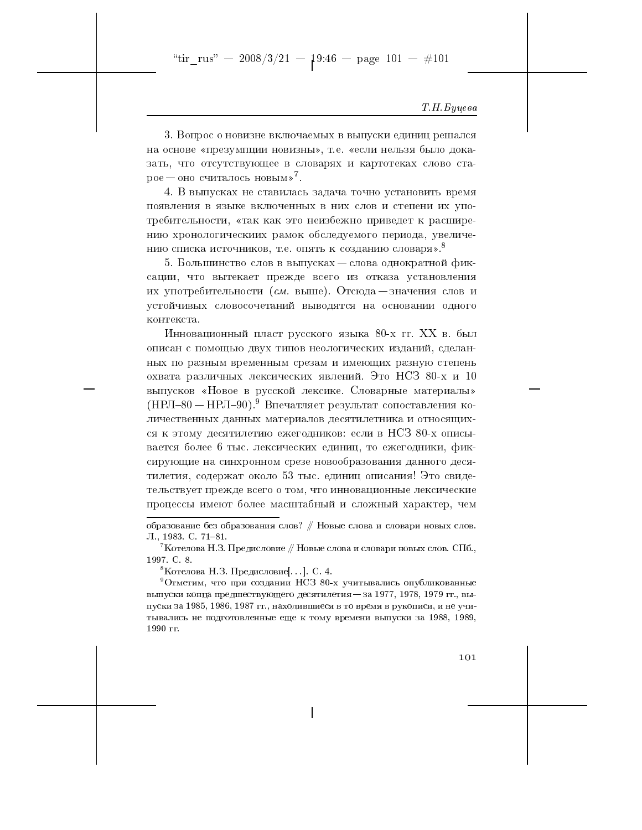## Т.Н. Буцева

3. Вопрос о новизне включаемых в выпуски единиц решался на основе «презумпции новизны», т.е. «если нельзя было доказать, что отсутствующее в словарях и картотеках слово старое — оно считалось новым»<sup>7</sup>.

4. В выпусках не ставилась задача точно установить время появления в языке включенных в них слов и степени их употребительности, «так как это неизбежно приведет к расширению хронологическиих рамок обследуемого периода, увеличению списка источников, т.е. опять к созданию словаря».<sup>8</sup>

5. Большинство слов в выпусках – слова однократной фиксации, что вытекает прежде всего из отказа установления их употребительности (см. выше). Отсюда — значения слов и устойчивых словосочетаний выводятся на основании одного контекста.

Инновационный пласт русского языка 80-х гг. XX в. был описан с помощью двух типов неологических изданий, сделанных по разным временным срезам и имеющих разную степень охвата различных лексических явлений. Это НСЗ 80-х и 10 выпусков «Новое в русской лексике. Словарные материалы» (НРЛ-80 — НРЛ-90).<sup>9</sup> Впечатляет результат сопоставления количественных данных материалов десятилетника и относящихся к этому десятилетию ежегодников: если в НСЗ 80-х описывается более 6 тыс. лексических единиц, то ежегодники, фиксирующие на синхронном срезе новообразования данного десятилетия, содержат около 53 тыс. единиц описания! Это свидетельствует прежде всего о том, что инновационные лексические процессы имеют более масштабный и сложный характер, чем

<sup>8</sup>Котелова Н.З. Предисловие[...]. С. 4.

 $^{9}$ Отметим, что при создании НСЗ 80-х учитывались опубликованные выпуски конца предшествующего десятилетия - за 1977, 1978, 1979 гг., выпуски за 1985, 1986, 1987 гг., находившиеся в то время в рукописи, и не учитывались не подготовленные еще к тому времени выпуски за 1988, 1989, 1990 гг.



образование без образования слов? // Новые слова и словари новых слов. Л., 1983. С. 71-81.

 $^{\prime}$ Котелова Н.З. Предисловие // Новые слова и словари новых слов. СПб., 1997. C. 8.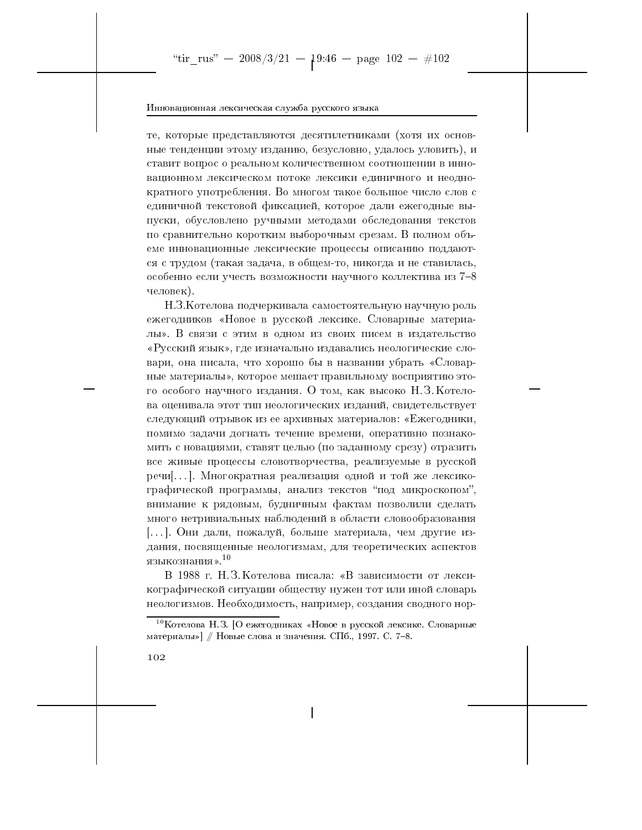те, которые представляются десятилетниками (хотя их основные тенденции этому изданию, безусловно, удалось уловить), и ставит вопрос о реальном количественном соотношении в инновационном лексическом потоке лексики единичного и неоднократного употребления. Во многом такое большое число слов с единичной текстовой фиксацией, которое дали ежегодные выпуски, обусловлено ручными методами обследования текстов по сравнительно коротким выборочным срезам. В полном объеме инновационные лексические процессы описанию поддаются с трудом (такая задача, в общем-то, никогда и не ставилась, особенно если учесть возможности научного коллектива из 7-8 человек).

Н.З. Котелова подчеркивала самостоятельную научную роль ежегодников «Новое в русской лексике. Словарные материалы». В связи с этим в одном из своих писем в издательство «Русский язык», где изначально издавались неологические словари, она писала, что хорошо бы в названии убрать «Словарные материалы», которое мешает правильному восприятию этого особого научного издания. О том, как высоко Н.З. Котелова оценивала этот тип неологических изданий, свидетельствует следующий отрывок из ее архивных материалов: «Ежегодники, помимо задачи догнать течение времени, оперативно познакомить с новациями, ставят целью (по заданному срезу) отразить все живые процессы словотворчества, реализуемые в русской графической программы, анализ текстов "под микроскопом", внимание к рядовым, будничным фактам позволили сделать много нетривиальных наблюдений в области словообразования [...]. Они дали, пожалуй, больше материала, чем другие издания, посвященные неологизмам, для теоретических аспектов языкознания». $^{10}$ 

В 1988 г. Н. З. Котелова писала: «В зависимости от лексикографической ситуации обществу нужен тот или иной словарь неологизмов. Необходимость, например, создания сводного нор-

 $^{10}$ Котелова Н.З. [О ежегодниках «Новое в русской лексике. Словарные материалы»] // Новые слова и значения. СПб., 1997. С. 7-8.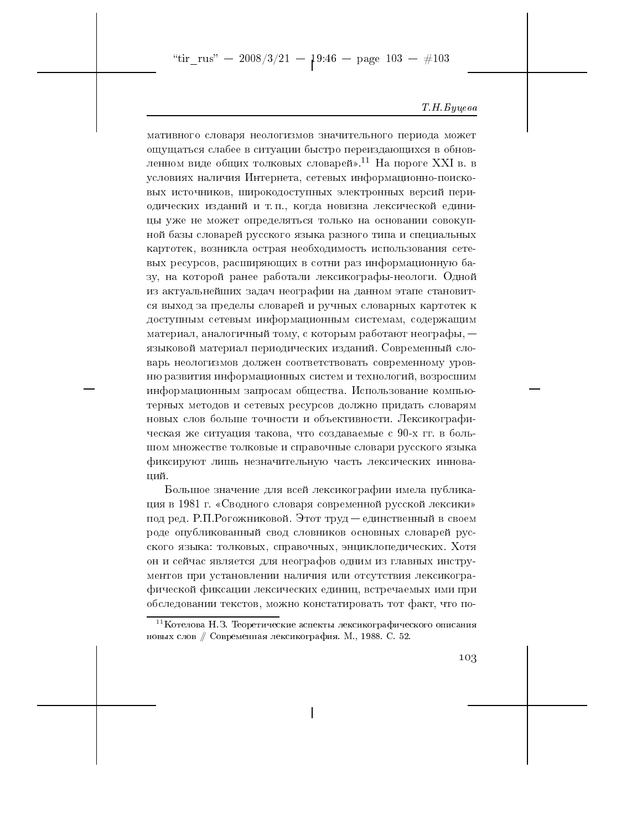"tir\_rus" -- 2008/3/21 --  $19:46$  -- page 103 -- #103

#### Т. Н. Буцева

мативного словаря неологизмов значительного периода может ощущаться слабее в ситуации быстро переиздающихся в обновленном виде общих толковых словарей».<sup>11</sup> На пороге XXI в. в условиях наличия Интернета, сетевых информационно-поисковых источников, широкодоступных электронных версий периодических изданий и т.п., когда новизна лексической единицы уже не может определяться только на основании совокупной базы словарей русского языка разного типа и специальных картотек, возникла острая необходимость использования сетевых ресурсов, расширяющих в сотни раз информационную базу, на которой ранее работали лексикографы-неологи. Одной из актуальнейших задач неографии на данном этапе становится выход за пределы словарей и ручных словарных картотек к доступным сетевым информационным системам, содержащим материал, аналогичный тому, с которым работают неографы,  $$ языковой материал периодических изданий. Современный словарь неологизмов должен соответствовать современному уровню развития информационных систем и технологий, возросшим информационным запросам общества. Использование компьютерных методов и сетевых ресурсов должно придать словарям новых слов больше точности и объективности. Лексикографическая же ситуация такова, что создаваемые с 90-х гг. в большом множестве толковые и справочные словари русского языка фиксируют лишь незначительную часть лексических иннований.

Большое значение для всей лексикографии имела публикация в 1981 г. «Сводного словаря современной русской лексики» под ред. Р.П. Рогожниковой. Этот труд — единственный в своем роде опубликованный свод словников основных словарей русского языка: толковых, справочных, энциклопедических. Хотя он и сейчас является для неографов одним из главных инструментов при установлении наличия или отсутствия лексикографической фиксации лексических единиц, встречаемых ими при обследовании текстов, можно констатировать тот факт, что по-

 $^{11}$ Котелова Н.З. Теоретические аспекты лексикографического описания новых слов // Современная лексикография. М., 1988. С. 52.

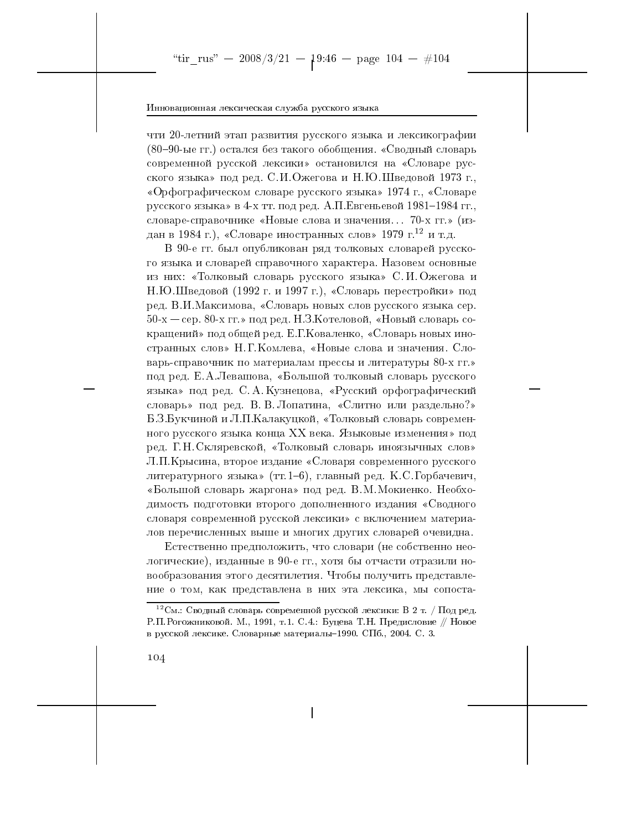чти 20-летний этап развития русского языка и лексикографии (80-90-ые гг.) остался без такого обобщения. «Сводный словарь современной русской лексики» остановился на «Словаре русского языка» под ред. С.И.Ожегова и Н.Ю.Шведовой 1973 г., «Орфографическом словаре русского языка» 1974 г., «Словаре русского языка» в 4-х тт. под ред. А.П. Евгеньевой 1981-1984 гг., словаре-справочнике «Новые слова и значения... 70-х гг.» (издан в 1984 г.), «Словаре иностранных слов» 1979 г.<sup>12</sup> и т.д.

В 90-е гг. был опубликован ряд толковых словарей русского языка и словарей справочного характера. Назовем основные из них: «Толковый словарь русского языка» С. И. Ожегова и Н.Ю.Шведовой (1992 г. и 1997 г.), «Словарь перестройки» под ред. В.И.Максимова, «Словарь новых слов русского языка сер. 50-х - сер. 80-х гг.» под ред. Н.З. Котеловой, «Новый словарь сокращений» под общей ред. Е.Г. Коваленко, «Словарь новых иностранных слов» Н.Г. Комлева, «Новые слова и значения. Словарь-справочник по материалам прессы и литературы 80-х гг.» под ред. Е.А. Левашова, «Большой толковый словарь русского языка» под ред. С. А. Кузнецова, «Русский орфографический словарь» под ред. В. В. Лопатина, «Слитно или раздельно?» Б.З.Букчиной и Л.П.Калакуцкой, «Толковый словарь современного русского языка конца XX века. Языковые изменения» под ред. Г.Н. Скляревской, «Толковый словарь иноязычных слов» Л.П.Крысина, второе издание «Словаря современного русского литературного языка» (тт. 1-6), главный ред. К.С. Горбачевич, «Большой словарь жаргона» под ред. В.М. Мокиенко. Необходимость подготовки второго дополненного издания «Сводного словаря современной русской лексики» с включением материалов перечисленных выше и многих других словарей очевидна.

Естественно предположить, что словари (не собственно неологические), изданные в 90-е гг., хотя бы отчасти отразили новообразования этого десятилетия. Чтобы получить представление о том, как представлена в них эта лексика, мы сопоста-

 $^{12}$ См.: Сводный словарь современной русской лексики: В 2 т. / Под ред. Р.П. Рогожниковой. М., 1991, т.1. С.4.: Буцева Т.Н. Предисловие // Новое в русской лексике. Словарные материалы-1990. СПб., 2004. С. 3.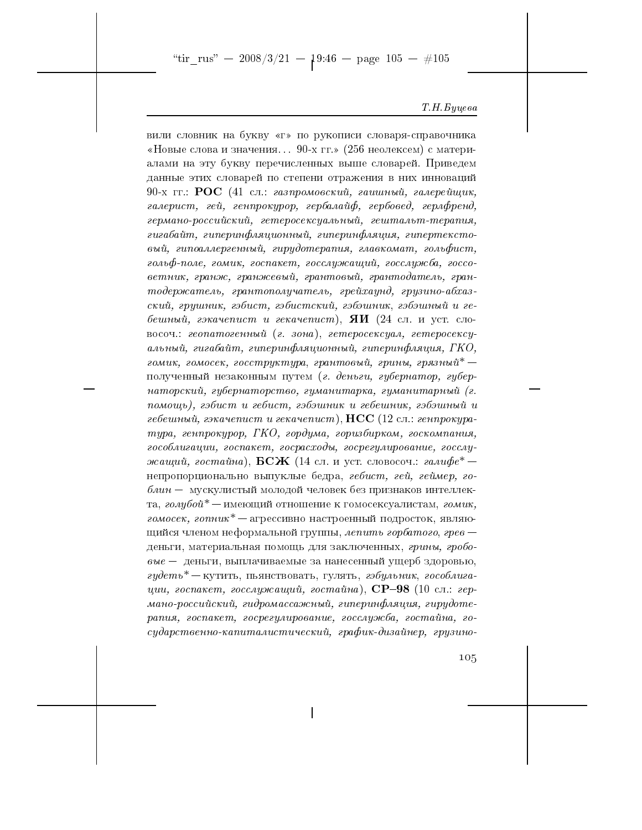"tir\_rus" -- 2008/3/21 --  $1^{9:46}$  -- page 105 --  $\#105$ 

#### Т.Н. Буцева

вили словник на букву «г» по рукописи словаря-справочника «Новые слова и значения... 90-х гг.» (256 неолексем) с материалами на эту букву перечисленных выше словарей. Приведем данные этих словарей по степени отражения в них инноваций 90-х гг.: РОС (41 сл.: газпромовский, гашиный, галерейщик, галерист, гей, генпрокурор, гербалайф, гербовед, герлфренд, германо-российский, гетеросексуальный, гештальт-терапия, гигабайт, гиперинфляционный, гиперинфляция, гипертекстовый, гипоаллергенный, гирудотерапия, главкомат, гольфист, гольф-поле, гомик, госпакет, госслужащий, госслужба, госсоветник, гранж, гранжевый, грантовый, грантодатель, грантодержатель, грантополучатель, грейхаунд, грузино-абхазский, грушник, гэбист, гэбистский, гэбэшник, гэбэшный и гебешный, гэкачепист и гекачепист), **ЯИ** (24 сл. и уст. словосоч.: геопатогенный (г. зона), гетеросексуал, гетеросексуальный, гигабайт, гиперинфляционный, гиперинфляция, ГКО, гомик, гомосек, госструктура, грантовый, грины, грязный\* полученный незаконным путем (г. деньги, губернатор, губернаторский, губернаторство, гуманитарка, гуманитарный (г. помощь), гэбист и гебист, гэбэшник и гебешник, гэбэшный и гебешный, гэкачепист и гекачепист),  $\text{HCC}$  (12 сл.: генпрокуратура, генпрокурор, ГКО, гордума, горизбирком, госкомпания, гособлигации, госпакет, госрасходы, госрегулирование, госслужащий, гостайна),  ${\rm BCK}$  (14 сл. и уст. словосоч.: гали $\phi e^*$ непропорционально выпуклые бедра, гебист, гей, геймер, го- $\delta$ лин — мускулистый молодой человек без признаков интеллекта, голубой<sup>\*</sup> — имеющий отношение к гомосексуалистам, гомик, гомосек, гопник<sup>\*</sup> - агрессивно настроенный подросток, являющийся членом неформальной группы, лепить горбатого, грев деньги, материальная помощь для заключенных, грины, гробо- $\epsilon_{0}$ вие — деньги, выплачиваемые за нанесенный ущерб здоровью, гудеть<sup>\*</sup> — кутить, пьянствовать, гулять, гэбульник, гособлигации, госпакет, госслужащий, гостайна),  $\text{CP--98}$  (10 сл.: германо-российский, гидромассажный, гиперинфляция, гирудотерапия, госпакет, госрегулирование, госслужба, гостайна, государственно-капиталистический, график-дизайнер, грузино-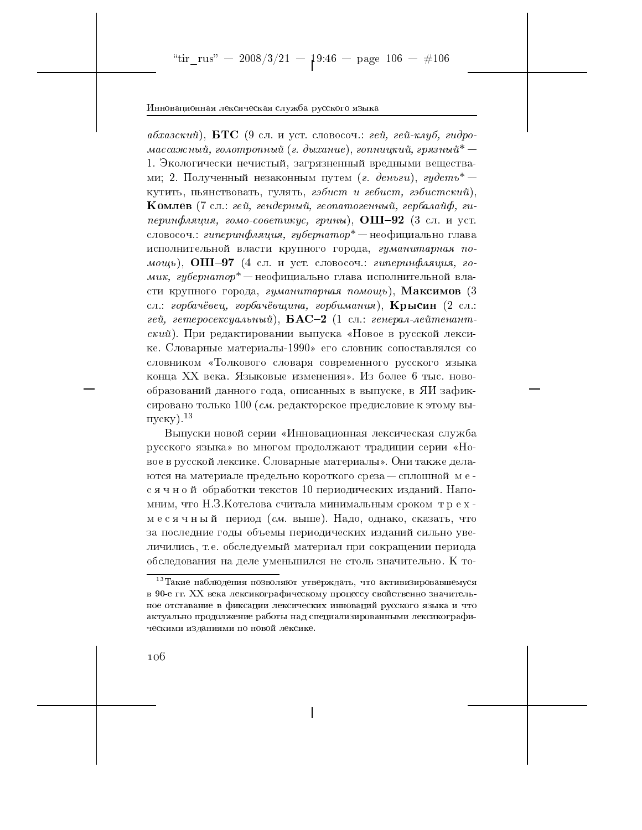абхазский), БТС (9 сл. и уст. словосоч.: гей, гей-клуб, гидромассажный, голотропный (г. дыхание), гопницкий, грязный $^\ast-$ 1. Экологически нечистый, загрязненный вредными веществами; 2. Полученный незаконным путем (г. деньги), гудеть<sup>\*</sup> кутить, пьянствовать, гулять, гэбист и гебист, гэбистский), **Комлев** (7 сл.: гей, гендерный, геопатогенный, гербалайф, гиперинфляция, гомо-советикус, грины),  $OIII-92$  (3 сл. и уст. словосоч.: гиперинфляция, губернатор\* — неофициально глава исполнительной власти крупного города, гуманитарная помощь), ОШ-97 (4 сл. и уст. словосоч.: гиперинфляция, гомик, губернатор $^*$ — неофициально глава исполнительной власти крупного города, гуманитарная помощь), Максимов (3 сл.: горбачёвец, горбачёвщина, горбимания), Крысин (2 сл.: гей, гетеросексуальный),  $\mathbf{BAC}\text{-}2$  (1 сл.: генерал-лейтенантский). При редактировании выпуска «Новое в русской лексике. Словарные материалы-1990» его словник сопоставлялся со словником «Толкового словаря современного русского языка конца XX века. Языковые изменения». Из более 6 тыс. новообразований данного года, описанных в выпуске, в ЯИ зафиксировано только 100 (см. редакторское предисловие к этому вы- $\mu$ <sub>I</sub>ycky).<sup>13</sup>

Выпуски новой серии «Инновационная лексическая служба русского языка» во многом продолжают традиции серии «Новое в русской лексике. Словарные материалы». Они также делаются на материале предельно короткого среза - сплошной месячной обработки текстов 10 периодических изданий. Напомним, что Н.З. Котелова считала минимальным сроком трехмесячный период (см. выше). Надо, однако, сказать, что за последние годы объемы периодических изданий сильно увеличились, т.е. обследуемый материал при сокращении периода обследования на деле уменьшился не столь значительно. К то-

 $^{13}$ Такие наблюдения позволяют утверждать, что активизировавшемуся в 90-е гг. XX века лексикографическому процессу свойственно значительное отставание в фиксации лексических инноваций русского языка и что актуально продолжение работы над специализированными лексикографическими изданиями по новой лексике.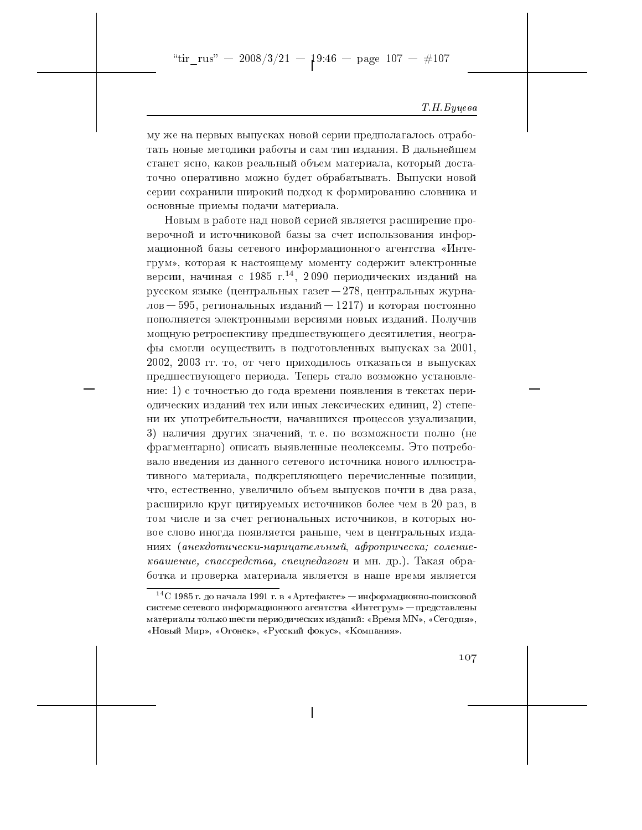"tir\_rus" - 2008/3/21 -  $19:46$  - page 107 - #107

#### Т. Н. Буцева

му же на первых выпусках новой серии предполагалось отработать новые методики работы и сам тип издания. В дальнейшем станет ясно, каков реальный объем материала, который достаточно оперативно можно будет обрабатывать. Выпуски новой серии сохранили широкий подход к формированию словника и основные приемы подачи материала.

Новым в работе над новой серией является расширение проверочной и источниковой базы за счет использования информационной базы сетевого информационного агентства «Интегрум», которая к настоящему моменту содержит электронные версии, начиная с 1985 г.<sup>14</sup>, 2090 периодических изданий на русском языке (центральных газет - 278, центральных журналов - 595, региональных изданий - 1217) и которая постоянно пополняется электронными версиями новых изданий. Получив мощную ретроспективу предшествующего десятилетия, неографы смогли осуществить в подготовленных выпусках за 2001. 2002, 2003 гг. то, от чего приходилось отказаться в выпусках предшествующего периода. Теперь стало возможно установление: 1) с точностью до года времени появления в текстах периодических изданий тех или иных лексических единиц, 2) степени их употребительности, начавшихся процессов узуализации, 3) наличия других значений, т.е. по возможности полно (не фрагментарно) описать выявленные неолексемы. Это потребовало введения из данного сетевого источника нового иллюстративного материала, подкрепляющего перечисленные позиции, что, естественно, увеличило объем выпусков почти в два раза, расширило круг цитируемых источников более чем в 20 раз, в том числе и за счет региональных источников, в которых новое слово иногда появляется раньше, чем в центральных изданиях (анекдотически-нарицательный, афроприческа; солениеквашение, спассредства, спецпедагоги и мн. др.). Такая обработка и проверка материала является в наше время является

107

 $^{14}$ С 1985 г. до начала 1991 г. в «Артефакте» — информационно-поисковой системе сетевого информационного агентства «Интегрум» — представлены материалы только шести периодических изданий: «Время МN», «Сегодня», «Новый Мир», «Огонек», «Русский фокус», «Компания».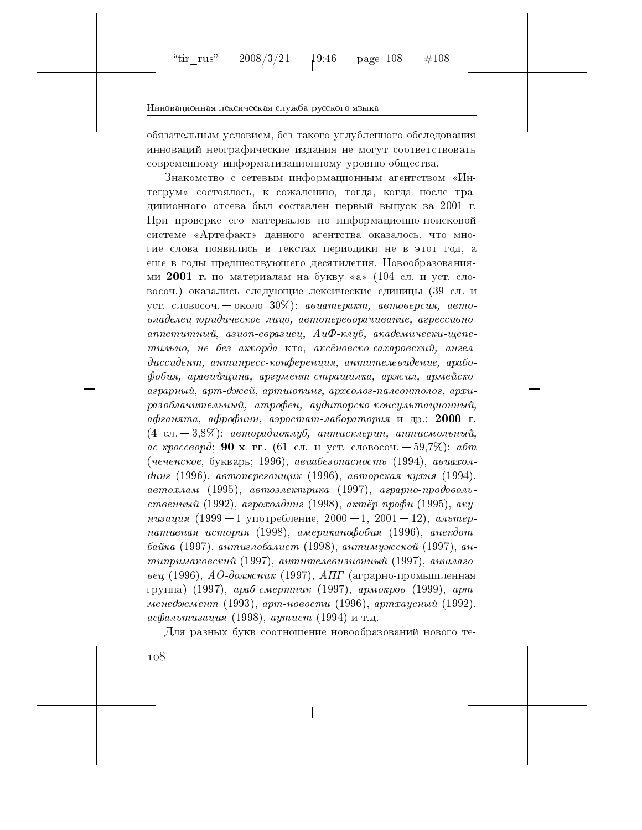обязательным условием, без такого углубленного обследования инноваций неографические издания не могут соответствовать современному информатизационному уровню общества.

Знакомство с сетевым информационным агентством «Интегрум» состоялось, к сожалению, тогда, когда после традиционного отсева был составлен первый выпуск за 2001 г. При проверке его материалов по информационно-поисковой системе «Артефакт» данного агентства оказалось, что многие слова появились в текстах периодики не в этот год, а еще в годы предшествующего десятилетия. Новообразованиями 2001 г. по материалам на букву «а» (104 сл. и уст. словосоч.) оказались следующие лексические единицы (39 сл. и уст. словосоч. — около 30%): авиатеракт, автоверсия, автовладелец-юридическое лицо, автопереворачивание, агрессивноаппетитный, азиоп-евразиец, АиФ-клуб, академически-щепетильно, не без аккорда кто, аксёновско-сахаровский, ангелдиссидент, антипресс-конференция, антителевидение, арабофобия, аравийщина, аргумент-страшилка, аржил, армейскоаграрный, арт-джей, артшопинг, археолог-палеонтолог, архиразоблачительный, атрофен, аудиторско-консультационный, афганята, афрофинн, аэростат-лаборатория и др.; 2000 г.  $(4 \text{ cm} - 3,8\%)$ : авторадиоклуб, антисклерин, антисмольный, ас-кроссворд; 90-х гг. (61 сл. и уст. словосоч. — 59,7%): абт (чеченское, букварь; 1996), авиабезопасность (1994), авиахолдинг (1996), автоперегонщик (1996), авторская кухня (1994), автохлам (1995), автоэлектрика (1997), аграрно-продовольственный (1992), агрохолдинг (1998), актёр-профи (1995), акунизация (1999 — 1 употребление, 2000 — 1, 2001 — 12), альтернативная история (1998), американофобия (1996), анекдотбайка (1997), антиглобалист (1998), антимужской (1997), антипримаковский (1997), антителевизионный (1997), аншлаговец (1996), АО-должник (1997), АПГ (аграрно-промышленная группа) (1997), араб-смертник (1997), армокров (1999), артменеджмент (1993), арт-новости (1996), артхаусный (1992), асфальтизация (1998), аутист (1994) и т.д.

Для разных букв соотношение новообразований нового те-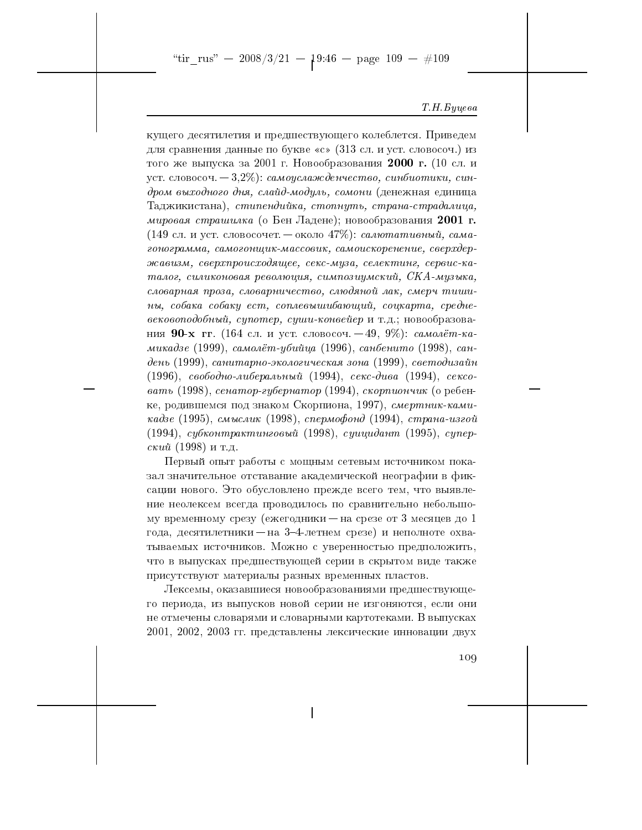"tir\_rus" - 2008/3/21 -  $1^{9:46}$  - page 109 - #109

#### Т.Н. Буцева

кущего десятилетия и предшествующего колеблется. Приведем для сравнения данные по букве «с» (313 сл. и уст. словосоч.) из того же выпуска за 2001 г. Новообразования 2000 г. (10 сл. и уст. словосоч.  $-3.2\%$ ): *самоуслажденчество*, *синбиотики*, *син*дром выходного дня, слайд-модуль, сомони (денежная единица Таджикистана), стипендийка, стопнуть, страна-страдалица, мировая страшилка (о Бен Ладене); новообразования 2001 г. (149 сл. и уст. словосочет. — около 47%): *салютативный*, *сама*гонограмма, самогонщик-массовик, самоискоренение, сверхдержавизм, сверхпроисходящее, секс-муза, селектинг, сервис-каталог, силиконовая революция, симпозиумский, СКА-музыка, словарная проза, словарничество, слюдяной лак, смерч тишины, собака собаку ест, соплевышибающий, соцкарта, средневековоподобный, супотер, суши-конвейер и т.д.; новообразования 90-х гг. (164 сл. и уст. словосоч. - 49, 9%): самолёт-камикадзе (1999), самолёт-убийца (1996), санбенито (1998), сандень (1999), санитарно-экологическая зона (1999), светодизайн (1996), свободно-либеральный (1994), секс-дива (1994), сексовать (1998), сенатор-губернатор (1994), скорпиончик (о ребенке, родившемся под знаком Скорпиона, 1997), смертник-камикадзе (1995), смыслик (1998), спермофонд (1994), страна-изгой (1994), субконтрактинговый (1998), суицидант (1995), супер $c\kappa u\tilde{u}$  (1998) и т.д.

Первый опыт работы с мощным сетевым источником показал значительное отставание академической неографии в фиксации нового. Это обусловлено прежде всего тем, что выявление неолексем всегда проводилось по сравнительно небольшому временному срезу (ежегодники - на срезе от 3 месяцев до 1 года, десятилетники - на 3-4-летнем срезе) и неполноте охватываемых источников. Можно с уверенностью предположить, что в выпусках предшествующей серии в скрытом виде также присутствуют материалы разных временных пластов.

Лексемы, оказавшиеся новообразованиями предшествующего периода, из выпусков новой серии не изгоняются, если они не отмечены словарями и словарными картотеками. В выпусках 2001, 2002, 2003 гг. представлены лексические инновации двух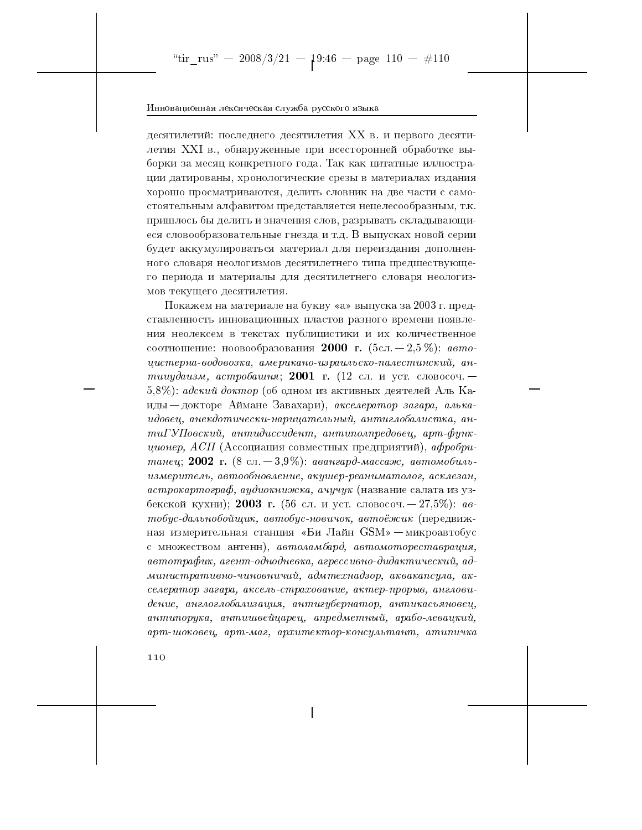десятилетий: последнего десятилетия XX в. и первого десятилетия XXI в., обнаруженные при всесторонней обработке выборки за месяц конкретного года. Так как цитатные иллюстрации датированы, хронологические срезы в материалах издания хорошо просматриваются, делить словник на две части с самостоятельным алфавитом представляется нецелесообразным, т.к. пришлось бы делить и значения слов, разрывать складывающиеся словообразовательные гнезда и т.д. В выпусках новой серии будет аккумулироваться материал для переиздания дополненного словаря неологизмов десятилетнего типа предшествующего периода и материалы для десятилетнего словаря неологизмов текущего десятилетия.

Покажем на материале на букву «а» выпуска за 2003 г. представленность инновационных пластов разного времени появления неолексем в текстах публицистики и их количественное соотношение: ноовообразования 2000 г. (5сл. - 2.5 %): автоцистерна-водовозка, американо-израильско-палестинский, антииудаизм, астробашня; 2001 г. (12 сл. и уст. словосоч. —  $(5.8\%)$ : адский доктор (об одном из активных деятелей Аль Каиды — докторе Аймане Завахари), акселератор загара, алькаидовец, анекдотически-нарицательный, антиглобалистка, ан $mu\Gamma Y\Pi$ овский, антидиссидент, антиполпредовец, арт-функ- $\mu u$ онер, АСП (Ассоциация совместных предприятий), афробританец; 2002 г. (8 сл. – 3,9%): авангард-массаж, автомобильизмеритель, автообновление, акушер-реаниматолог, асклезан, астрокартограф, аудиокнижка, ачучук (название салата из узбекской кухни); 2003 г. (56 сл. и уст. словосоч. - 27,5%): автобус-дальнобойщик, автобус-новичок, автоёжик (передвижная измерительная станция «Би Лайн GSM» - микроавтобус с множеством антенн), автоламбард, автомотореставрация, автотрафик, агент-однодневка, агрессивно-дидактический, административно-чиновничий, адмтехнадзор, аквакапсула, акселератор загара, аксель-страхование, актер-прорыв, англовидение, англоглобализация, антигубернатор, антикасьяновец, антипорука, антишвейцарец, апредметный, арабо-левацкий, арт-шоковец, арт-маг, архитектор-консультант, атипичка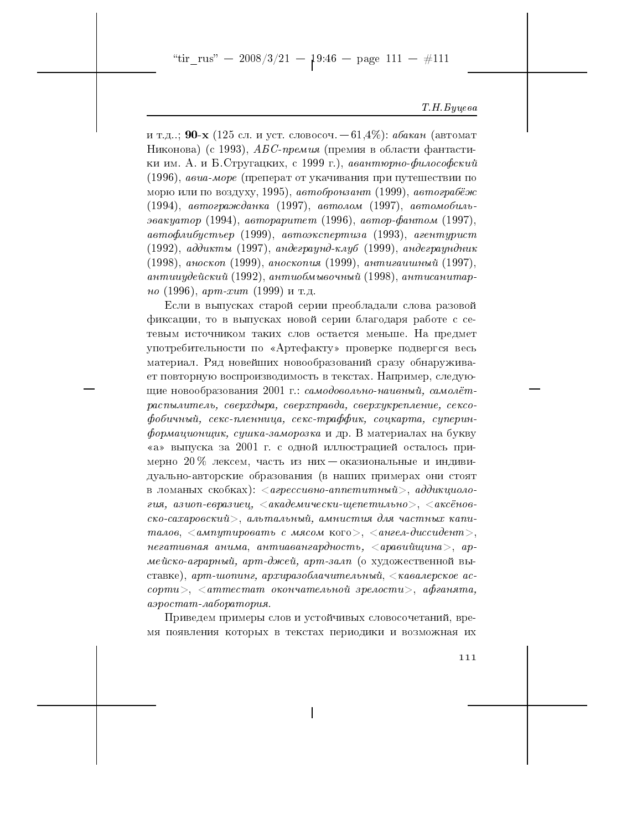"tir\_rus" - 2008/3/21 -  $19:46$  - page 111 - #111

#### Т. Н. Буцева

итд.: 90-х (125 сл. и уст. словосоч. - 61,4%): абакан (автомат Никонова) (с 1993), *АБС-премия* (премия в области фантастики им. А. и Б. Стругацких, с 1999 г.), авантюрно-философский (1996), авиа-море (преперат от укачивания при путешествии по морю или по воздуху, 1995), автобронзант (1999), автограбёж  $(1994)$ , автогражданка (1997), автолом (1997), автомобильэвакуатор (1994), автораритет (1996), автор-фантом (1997), автофлибустьер (1999), автоэкспертиза (1993), агентурист  $(1992)$ , аддикты (1997), андеграунд-клуб (1999), андеграундник (1998), аноскоп (1999), аноскопия (1999), антигашиный (1997), антиичдейский (1992), антиобмывочный (1998), антисанитар*но* (1996), *apm-xum* (1999) и т.д.

Если в выпусках старой серии преобладали слова разовой фиксации, то в выпусках новой серии благодаря работе с сетевым источником таких слов остается меньше. На предмет употребительности по «Артефакту» проверке подвергся весь материал. Ряд новейших новообразований сразу обнаруживает повторную воспроизводимость в текстах. Например, следующие новообразования 2001 г.: самодовольно-наивный, самолётраспылитель, сверхдыра, сверхправда, сверхукрепление, сексофобичный, секс-пленница, секс-траффик, соцкарта, суперин- $\phi$ ормационщик, сушка-заморозка и др. В материалах на букву «а» выпуска за 2001 г. с одной иллюстрацией осталось примерно 20 % лексем, часть из них - оказиональные и индивидуально-авторские образования (в наших примерах они стоят в ломаных скобках):  $\langle$  *агрессивно-аппетитный>*, *аддикциоло*гия, азиоп-евразиец,  $\langle a \kappa a \partial e \kappa u \cdot \mu e \kappa u \cdot \mu e \kappa u \cdot \kappa \partial \kappa \rangle$ ,  $\langle a \kappa c \ddot{e} \kappa o \kappa a \cdot \kappa a \cdot \kappa a \cdot \kappa a \cdot \kappa a \cdot \kappa a \cdot \kappa a \cdot \kappa a \cdot \kappa a \cdot \kappa a \cdot \kappa a \cdot \kappa a \cdot \kappa a \cdot \kappa a \cdot \kappa a \cdot \kappa a \cdot \kappa a \cdot \kappa a \cdot \kappa a \cdot \kappa a \cdot \kappa a \cdot \kappa a \cdot \$  $\csc$ о-сахаровский>, альтальный, амнистия для частных капиталов,  $\langle$  ампутировать с мясом кого>,  $\langle$  ангел-диссидент>, негативная анима, антиавангардность,  $\langle$ аравийщина>, армейско-аграрный, арт-джей, арт-залп (о художественной выставке), арт-шопинг, архиразоблачительный,  $\langle$ кавалерское ас- $\mathit{copmu}$  $>$ ,  $\langle \mathit{ammecmam} \rangle$  окончательной зрелости $>$ , афганята, аэростат-лаборатория.

Приведем примеры слов и устойчивых словосочетаний, время появления которых в текстах периодики и возможная их

 $1\,1\,1$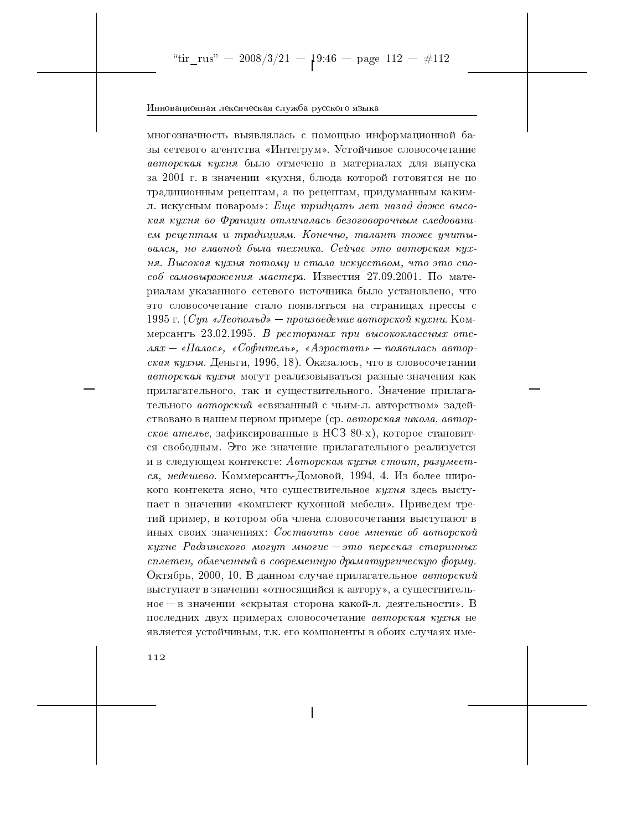многозначность выявлялась с помощью информационной базы сетевого агентства «Интегрум». Устойчивое словосочетание авторская кухня было отмечено в материалах для выпуска за 2001 г. в значении «кухня, блюда которой готовятся не по традиционным рецептам, а по рецептам, придуманным какимл. искусным поваром»: Еще тридцать лет назад даже высокая кухня во Франции отличалась безоговорочным следованием рецептам и традициям. Конечно, талант тоже учитывался, но главной была техника. Сейчас это авторская кухня. Высокая кухня потому и стала искусством, что это способ самовыражения мастера. Известия 27.09.2001. По материалам указанного сетевого источника было установлено, что это словосочетание стало появляться на страницах прессы с 1995 г. (Суп «Леопольд» — произведение авторской кухни. Коммерсантъ 23.02.1995. В ресторанах при высококлассных отеля $x-\ast \Pi$ алас», «Софитель», «Аэростат» — появилась авторская кухня. Деньги, 1996, 18). Оказалось, что в словосочетании авторская кухня могут реализовываться разные значения как прилагательного, так и существительного. Значение прилагательного авторский «связанный с чьим-л. авторством» задействовано в нашем первом примере (ср. авторская школа, авторское ателье, зафиксированные в НСЗ 80-х), которое становится свободным. Это же значение прилагательного реализуется и в следующем контексте: Авторская кухня стоит, разумеется, недешево. Коммерсантъ-Домовой, 1994, 4. Из более широкого контекста ясно, что существительное кухня здесь выступает в значении «комплект кухонной мебели». Приведем третий пример, в котором оба члена словосочетания выступают в иных своих значениях: Составить свое мнение об авторской кухне Радзинского могут многие $-$ это пересказ старинных сплетен, облеченный в современную драматургическую форму. Октябрь, 2000, 10. В данном случае прилагательное авторский выступает в значении «относящийся к автору», а существительное — в значении «скрытая сторона какой-л. деятельности». В последних двух примерах словосочетание авторская кухня не является устойчивым, т.к. его компоненты в обоих случаях име-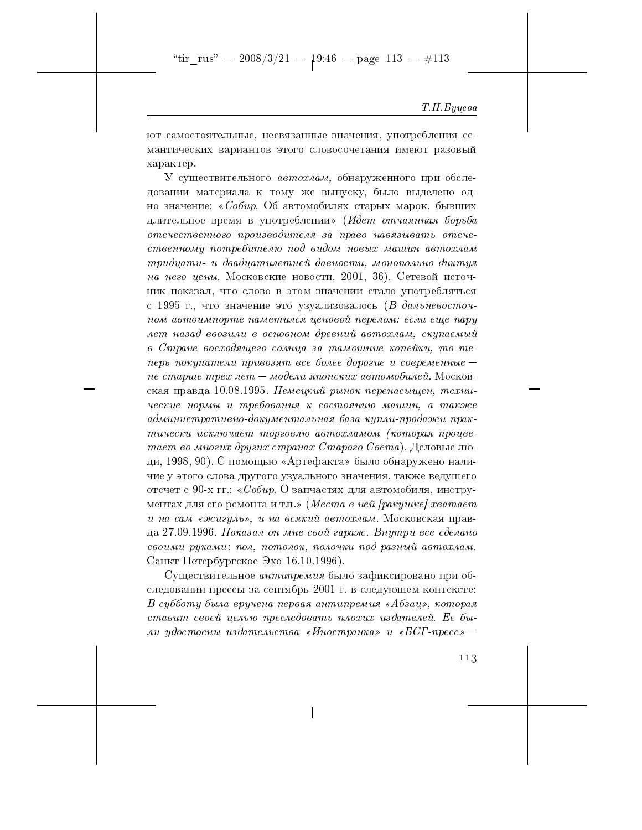"tir\_rus" -- 2008/3/21 --  $1^{9:46}$  -- page 113 -- #113

#### Т. Н. Буцева

ют самостоятельные, несвязанные значения, употребления семантических вариантов этого словосочетания имеют разовый характер.

У существительного автохлам, обнаруженного при обследовании материала к тому же выпуску, было выделено одно значение: «Собир. Об автомобилях старых марок, бывших длительное время в употреблении» (Идет отчаянная борьба отечественного производителя за право навязывать отечественному потребителю под видом новых машин автохлам тридцати- и двадцатилетней давности, монопольно диктуя на него цены. Московские новости, 2001, 36). Сетевой источник показал, что слово в этом значении стало употребляться с 1995 г., что значение это узуализовалось (В дальневосточном автоимпорте наметился ценовой перелом: если еще пару лет назад ввозили в основном древний автохлам, скупаемый в Стране восходящего солнца за тамошние копейки, то теперь покупатели привозят все более дорогие и современные не старше трех лет – модели японских автомобилей. Московская правда 10.08.1995. Немецкий рынок перенасыщен, технические нормы и требования к состоянию машин, а также административно-документальная база купли-продажи практически исключает торговлю автохламом (которая процветает во многих других странах Старого Света). Деловые люди, 1998, 90). С помощью «Артефакта» было обнаружено наличие у этого слова другого узуального значения, также ведущего отсчет с 90-х гг.: «Собир. О запчастях для автомобиля, инструментах для его ремонта и т.п.» (Места в ней [ракушке] хватает и на сам «жигуль», и на всякий автохлам. Московская правда 27.09.1996. Показал он мне свой гараж. Внутри все сделано своими руками: пол, потолок, полочки под разный автохлам. Санкт-Петербургское Эхо 16.10.1996).

Существительное антипремия было зафиксировано при обследовании прессы за сентябрь 2001 г. в следующем контексте: В субботу была вручена первая антипремия «Абзац», которая ставит своей целью преследовать плохих издателей. Ее были удостоены издательства «Иностранка» и «БСГ-пресс» —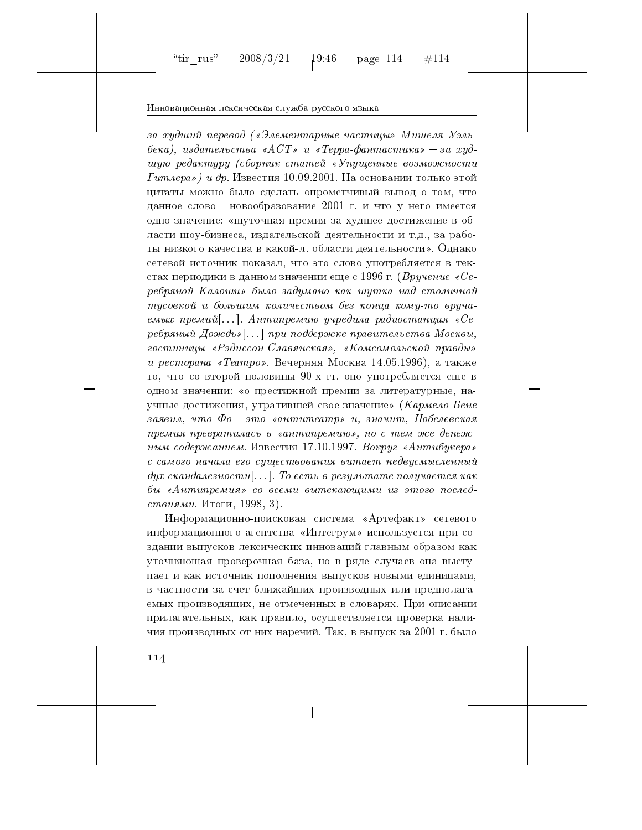за худший перевод («Элементарные частицы» Мишеля Уэльбека), издательства «АСТ» и «Терра-фантастика» — за худшую редактуру (сборник статей «Упущенные возможности  $I$ итлера») и др. Известия 10.09.2001. На основании только этой цитаты можно было сделать опрометчивый вывод о том, что данное слово — новообразование 2001 г. и что у него имеется одно значение: «шуточная премия за худшее достижение в области шоу-бизнеса, издательской деятельности и т.д., за работы низкого качества в какой-л. области деятельности». Однако сетевой источник показал, что это слово употребляется в текстах периодики в данном значении еще с 1996 г. (Вручение «Серебряной Калоши» было задумано как шутка над столичной тусовкой и большим количеством без конца кому-то вручаемых премий[...]. Антипремию учредила радиостанция «Серебряный Дождь»[...] при поддержке правительства Москвы, гостиницы «Рэдиссон-Славянская», «Комсомольской правды» и ресторана «Театро». Вечерняя Москва 14.05.1996), а также то, что со второй половины 90-х гг. оно употребляется еще в одном значении: «о престижной премии за литературные, научные достижения, утратившей свое значение» (Кармело Бене заявил, что  $\Phi$ о – это «антитеатр» и, значит, Нобелевская премия превратилась в «антипремию», но с тем же денежным содержанием. Известия 17.10.1997. Вокруг «Антибукера» с самого начала его существования витает недвусмысленный дух скандалезности[...]. То есть в результате получается как бы «Антипремия» со всеми вытекающими из этого послед*ствиями*. Итоги, 1998, 3).

Информационно-поисковая система «Артефакт» сетевого информационного агентства «Интегрум» используется при создании выпусков лексических инноваций главным образом как уточняющая проверочная база, но в ряде случаев она выступает и как источник пополнения выпусков новыми единицами, в частности за счет ближайших производных или предполагаемых производящих, не отмеченных в словарях. При описании прилагательных, как правило, осуществляется проверка наличия производных от них наречий. Так, в выпуск за 2001 г. было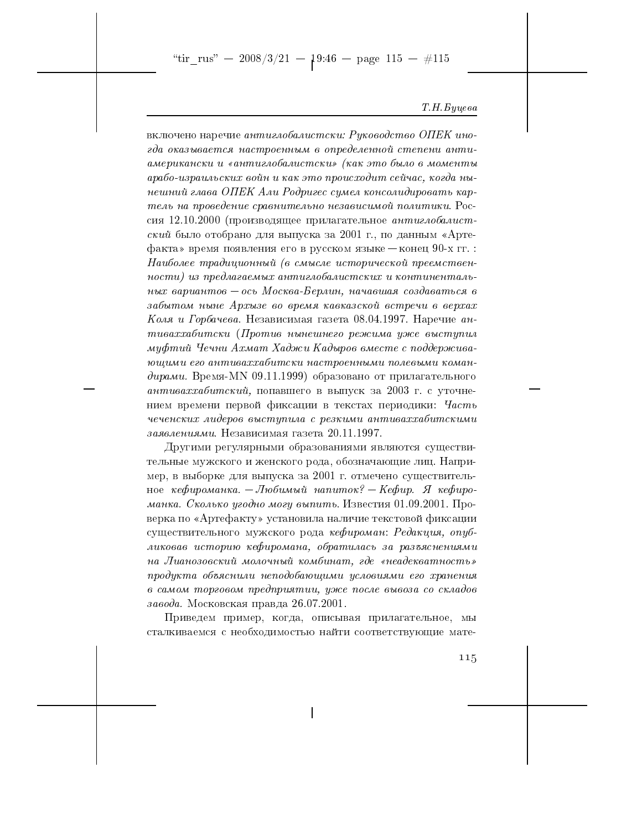"tir\_rus" - 2008/3/21 -  $1^{9:46}$  - page 115 - #115

#### Т. Н. Буцева

включено наречие антиглобалистски: Руководство ОПЕК иногда оказывается настроенным в определенной степени антиамерикански и «антиглобалистски» (как это было в моменты арабо-израильских войн и как это происходит сейчас, когда нынешний глава ОПЕК Али Родригес сумел консолидировать картель на проведение сравнительно независимой политики. Россия 12.10.2000 (производящее прилагательное антиглобалист $c\kappa u\check u$  было отобрано для выпуска за 2001 г., по данным «Артефакта» время появления его в русском языке - конец 90-х гг. Наиболее традиционный (в смысле исторической преемственности) из предлагаемых антиглобалистских и континентальных вариантов — ось Москва-Берлин, начавшая создаваться в забытом ныне Архызе во время кавказской встречи в верхах Коля и Горбачева. Независимая газета 08.04.1997. Наречие антиваххабитски (Против нынешнего режима уже выступил муфтий Чечни Ахмат Хаджи Кадыров вместе с поддерживающими его антиваххабитски настроенными полевыми командирами. Время-МN 09.11.1999) образовано от прилагательного антиваххабитский, попавшего в выпуск за 2003 г. с уточнением времени первой фиксации в текстах периодики: Часть чеченских лидеров выступила с резкими антиваххабитскими заявлениями. Независимая газета 20.11.1997.

Другими регулярными образованиями являются существительные мужского и женского рода, обозначающие лиц. Например, в выборке для выпуска за 2001 г. отмечено существительное кефироманка. - Любимый напиток? - Кефир. Я кефироманка. Сколько угодно могу выпить. Известия 01.09.2001. Проверка по «Артефакту» установила наличие текстовой фиксации существительного мужского рода кефироман: Редакция, опубликовав историю кефиромана, обратилась за разъяснениями на Лианозовский молочный комбинат, где «неадекватность» продукта объяснили неподобающими условиями его хранения в самом торговом предприятии, уже после вывоза со складов завода. Московская правда 26.07.2001.

Приведем пример, когда, описывая прилагательное, мы сталкиваемся с необходимостью найти соответствующие мате-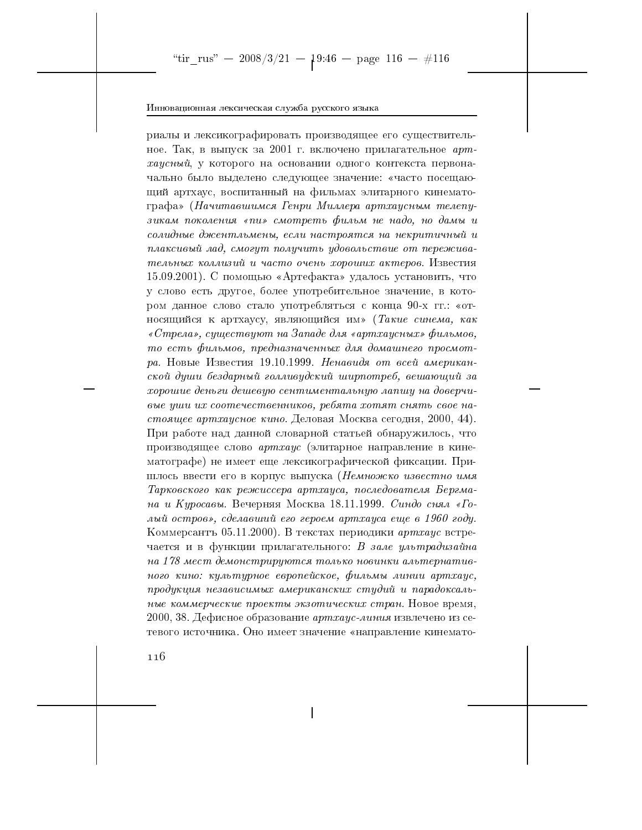риалы и лексикографировать производящее его существительное. Так, в выпуск за 2001 г. включено прилагательное артхаусный, у которого на основании одного контекста первоначально было выделено следующее значение: «часто посещающий артхаус, воспитанный на фильмах элитарного кинематографа» (Начитавшимся Генри Миллера артхаусным телепузикам поколения «пи» смотреть фильм не надо, но дамы и солидные джентльмены, если настроятся на некритичный и плаксивый лад, смогут получить удовольствие от переживательных коллизий и часто очень хороших актеров. Известия 15.09.2001). С помощью «Артефакта» удалось установить, что у слово есть другое, более употребительное значение, в котором данное слово стало употребляться с конца 90-х гг.: «относящийся к артхаусу, являющийся им» (Такие синема, как «Стрела», существуют на Западе для «артхаусных» фильмов, то есть фильмов, предназначенных для домашнего просмотра. Новые Известия 19.10.1999. Ненавидя от всей американской души бездарный голливудский ширпотреб, вешающий за хорошие деньги дешевую сентиментальную лапшу на доверчивые уши их соотечественников, ребята хотят снять свое настоящее артхаусное кино. Деловая Москва сегодня, 2000, 44). При работе над данной словарной статьей обнаружилось, что производящее слово *артхаус* (элитарное направление в кинематографе) не имеет еще лексикографической фиксации. Пришлось ввести его в корпус выпуска (Немножко известно имя Тарковского как режиссера артхауса, последователя Бергмана и Куросавы. Вечерняя Москва 18.11.1999. Синдо снял «Голый остров», сделавший его героем артхауса еще в 1960 году. Коммерсантъ 05.11.2000). В текстах периодики артхаус встречается и в функции прилагательного: В зале ультрадизайна на 178 мест демонстрируются только новинки альтернативного кино: культурное европейское, фильмы линии артхаус, продукция независимых американских студий и парадоксальные коммерческие проекты экзотических стран. Новое время, 2000, 38. Дефисное образование *артхаус-линия* извлечено из сетевого источника. Оно имеет значение «направление кинемато-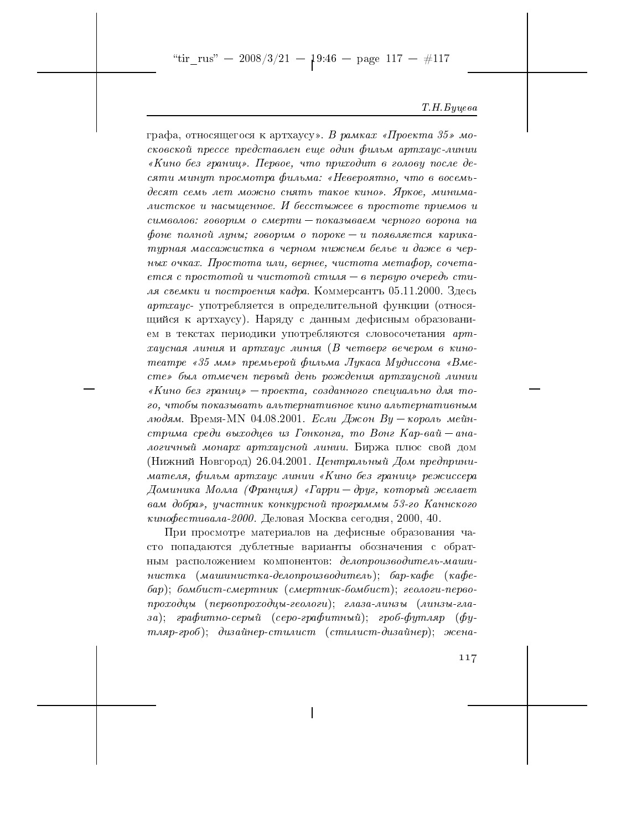"tir\_rus" - 2008/3/21 -  $19:46$  - page 117 - #117

#### Т. Н. Буцева

графа, относящегося к артхаусу». В рамках «Проекта 35» московской прессе представлен еще один фильм артхаус-линии «Кино без границ». Первое, что приходит в голову после десяти минут просмотра фильма: «Невероятно, что в восемьдесят семь лет можно снять такое кино». Яркое, минималистское и насыщенное. И бесстыжее в простоте приемов и символов: говорим о смерти - показываем черного ворона на фоне полной луны; говорим о пороке — и появляется карикатурная массажистка в черном нижнем белье и даже в черных очках. Простота или, вернее, чистота метафор, сочетается с простотой и чистотой стиля — в первую очередь стиля съемки и построения кадра. Коммерсантъ 05.11.2000. Здесь артхаус- употребляется в определительной функции (относящийся к артхаусу). Наряду с данным дефисным образованием в текстах периодики употребляются словосочетания артхаусная линия и артхаус линия (В четверг вечером в кинотеатре «35 мм» премьерой фильма Лукаса Мудиссона «Вместе» был отмечен первый день рождения артхаусной линии «Кино без границ» — проекта, созданного специально для того, чтобы показывать альтернативное кино альтернативным людям. Время-МN 04.08.2001. Если Джон Ву - король мейнстрима среди выходцев из Гонконга, то Вонг Кар-вай — аналогичный монарх артхаусной линии. Биржа плюс свой дом (Нижний Новгород) 26.04.2001. Центральный Дом предпринимателя, фильм артхаус линии «Кино без границ» режиссера Доминика Молла (Франция) «Гарри — друг, который желает вам добра», участник конкурсной программы 53-го Каннского кинофестивала-2000. Деловая Москва сегодня, 2000, 40.

При просмотре материалов на дефисные образования часто попадаются дублетные варианты обозначения с обратным расположением компонентов: делопроизводитель-машинистка (машинистка-делопроизводитель); бар-кафе (кафе- $\delta ap$ );  $\delta$ омбист-смертник (смертник-бомбист); геологи-первопроходцы (первопроходцы-геологи); глаза-линзы (линзы-глаза); графитно-серый (серо-графитный); гроб-футляр (футляр-гроб); дизайнер-стилист (стилист-дизайнер); жена-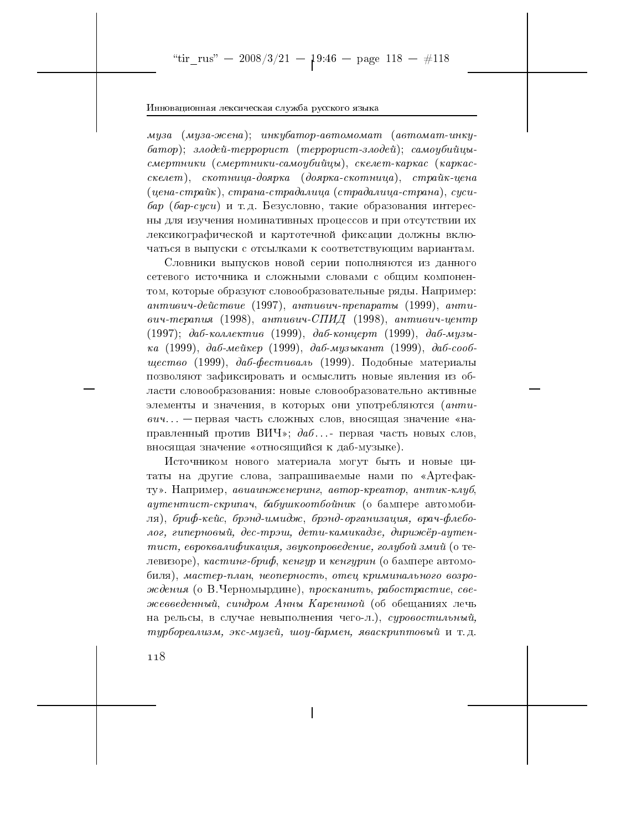муза (муза-жена); инкубатор-автомомат (автомат-инкубатор); злодей-террорист (террорист-злодей); самоубийцысмертники (смертники-самоцбийцы), скелет-каркас (каркасскелет), скотница-доярка (доярка-скотница), страйк-цена  $(qenea-cmpa\tilde{u}\kappa), cpqaa-cmpa\tilde{d}a\lambda uqa (cmpa\tilde{d}a\lambda uqa-cmpaha), cycu$ бар (бар-суси) и т.д. Безусловно, такие образования интересны для изучения номинативных процессов и при отсутствии их лексикографической и картотечной фиксации должны включаться в выпуски с отсылками к соответствующим вариантам.

Словники выпусков новой серии пополняются из данного сетевого источника и сложными словами с общим компонентом, которые образуют словообразовательные ряды. Например: антивич-действие (1997), антивич-препараты (1999), антивич-терапия (1998), антивич-СПИД (1998), антивич-центр  $(1997);$  даб-коллектив (1999), даб-концерт (1999), даб-музыка (1999), даб-мейкер (1999), даб-музыкант (1999), даб-сооб*шество* (1999), да*б-фестиваль* (1999). Подобные материалы позволяют зафиксировать и осмыслить новые явления из области словообразования: новые словообразовательно активные элементы и значения, в которых они употребляются (антивич... - первая часть сложных слов, вносящая значение «направленный против ВИЧ»;  $da6...$  первая часть новых слов. вносящая значение «относящийся к даб-музыке).

Источником нового материала могут быть и новые цитаты на другие слова, запрашиваемые нами по «Артефакту». Например, авиаинженеринг, автор-креатор, антик-клуб, аутентист-скрипач, бабушкоотбойник (о бампере автомобиля), бриф-кейс, брэнд-имидж, брэнд-организация, врач-флеболог, гиперновый, дес-трэш, дети-камикадзе, дирижёр-аутентист, евроквалификация, звукопроведение, голубой змий (о тедевизоре), кастинг-бриф, кенгур и кенгурин (о бампере автомобиля), мастер-план, неоперность, отец криминального возрождения (о В.Черномырдине), просканить, рабострастие, свежевведенный, синдром Анны Карениной (об обещаниях лечь на рельсы, в случае невыполнения чего-л.), суровостильный, турбореализм, экс-музей, шоу-бармен, яваскриптовый и т.д.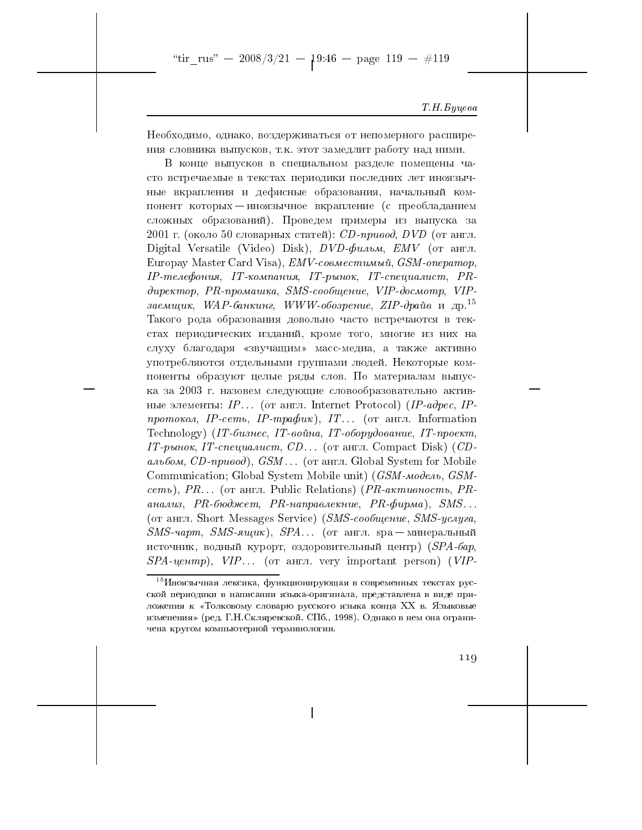"tir\_rus" - 2008/3/21 -  $19:46$  - page 119 - #119

## Т. Н. Буцева

Необходимо, однако, воздерживаться от непомерного расширения словника выпусков, т.к. этот замедлит работу над ними.

В конце выпусков в специальном разделе помещены часто встречаемые в текстах периодики последних лет иноязычные вкрапления и дефисные образования, начальный компонент которых — иноязычное вкрапление (с преобладанием сложных образований). Проведем примеры из выпуска за 2001 г. (около 50 словарных статей): CD-привод, DVD (от англ. Digital Versatile (Video) Disk),  $DVD\text{-}\phi u$ льм,  $EMV$  (от англ. Europay Master Card Visa), *EMV-совместимый*, *GSM-оператор*, IP-телефония, IT-компания, IT-рынок, IT-специалист, PRдиректор, PR-промашка, SMS-сообщение, VIP-досмотр, VIPзаемщик, WAP-банкинг, WWW-обозрение, ZIP-драйв и др.<sup>15</sup> Такого рода образования довольно часто встречаются в текстах периодических изданий, кроме того, многие из них на слуху благодаря «звучащим» масс-медиа, а также активно употребляются отдельными группами людей. Некоторые компоненты образуют целые ряды слов. По материалам выпуска за 2003 г. назовем следующие словообразовательно активные элементы: IP... (от англ. Internet Protocol) (IP-адрес, IP*протокол*, *IP-cemb*, *IP-трафик*), *IT*... (от англ. Information Technology) (IT-бизнес, IT-война, IT-оборудование, IT-проект, IT-рынок, IT-специалист, CD... (от англ. Compact Disk) (CDальбом, CD-привод), GSM... (от англ. Global System for Mobile Communication; Global System Mobile unit) (*GSM-модель*, *GSM* $cemo$ ), PR... (от англ. Public Relations) (PR-активность, PRанализ,  $PR$ -бюджет,  $PR$ -направлекние,  $PR$ -фирма), SMS... (от англ. Short Messages Service) (SMS-сообщение, SMS-услуга,  $SMS$ -чарт, SMS-ящик), SPA... (от англ. spa — минеральный источник, водный курорт, оздоровительный центр) (SPA-бар,  $SPA$ -uenmp),  $VIP$ ... (or ahrn. very important person) (VIP-

 $^{15}$ Иноязычная лексика, функционирующая в современных текстах русской периодики в написании языка-оригинала, представлена в виде приложения к «Толковому словарю русского языка конца XX в. Языковые изменения» (ред. Г.Н.Скляревской. СПб., 1998). Однако в нем она ограничена кругом компьютерной терминологии.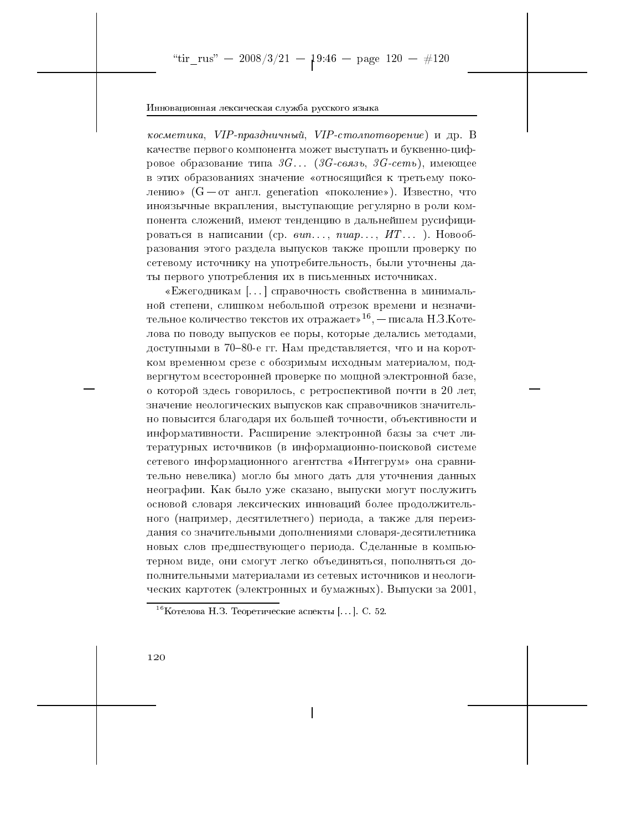косметика, VIP-праздничный, VIP-столпотворение) и др. В качестве первого компонента может выступать и буквенно-цифровое образование типа  $3G...$  (3G-связь, 3G-сеть), имеющее в этих образованиях значение «относящийся к третьему поколению» ( $G$  - от англ. generation «поколение»). Известно, что иноязычные вкрапления, выступающие регулярно в роли компонента сложений, имеют тенденцию в дальнейшем русифицироваться в написании (ср.  $\epsilon u$ n..., nuap..., ИТ...). Новообразования этого раздела выпусков также прошли проверку по сетевому источнику на употребительность, были уточнены даты первого употребления их в письменных источниках.

«Ежегодникам [...] справочность свойственна в минимальной степени, слишком небольшой отрезок времени и незначительное количество текстов их отражает»<sup>16</sup>, — писала Н.З.Котелова по поводу выпусков ее поры, которые делались методами, доступными в 70-80-е гг. Нам представляется, что и на коротком временном срезе с обозримым исходным материалом, подвергнутом всесторонней проверке по мощной электронной базе, о которой здесь говорилось, с ретроспективой почти в 20 лет, значение неологических выпусков как справочников значительно повысится благодаря их большей точности, объективности и информативности. Расширение электронной базы за счет литературных источников (в информационно-поисковой системе сетевого информационного агентства «Интегрум» она сравнительно невелика) могло бы много дать для уточнения данных неографии. Как было уже сказано, выпуски могут послужить основой словаря лексических инноваций более продолжительного (например, десятилетнего) периода, а также для переиздания со значительными дополнениями словаря-десятилетника новых слов предшествующего периода. Сделанные в компьютерном виде, они смогут легко объединяться, пополняться дополнительными материалами из сетевых источников и неологических картотек (электронных и бумажных). Выпуски за 2001,

 $16$ Котелова Н.З. Теоретические аспекты [...]. С. 52.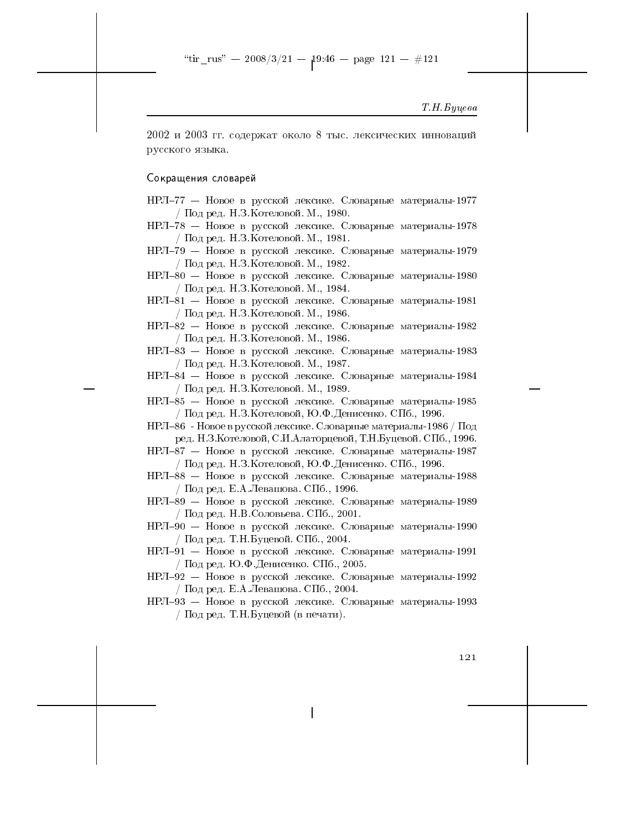## Т. Н. Буцева

2002 и 2003 гг. содержат около 8 тыс. лексических инноваций русского языка.

## Сокращения словарей

- НРЛ-77 Новое в русской лексике. Словарные материалы-1977 / Под ред. Н.З. Котеловой. М., 1980.
- НРЛ-78 Новое в русской лексике. Словарные материалы-1978 / Под ред. Н.З. Котеловой. М., 1981.
- НРЛ-79 Новое в русской лексике. Словарные материалы-1979 / Под ред. Н.З. Котеловой. М., 1982.
- НРЛ-80 Новое в русской лексике. Словарные материалы-1980 / Под ред. Н.З. Котеловой. М., 1984.
- НРЛ-81 Новое в русской лексике. Словарные материалы-1981  $/$  Под ред. Н.З. Котеловой. М., 1986.
- НРЛ-82 Новое в русской лексике. Словарные материалы-1982 / Под ред. Н.З. Котеловой. М., 1986.

НРЛ-83 - Новое в русской лексике. Словарные материалы-1983 / Под ред. Н.З. Котеловой. М., 1987.

НРЛ-84 — Новое в русской лексике. Словарные материалы-1984 / Под ред. Н.З. Котеловой. М., 1989.

НРЛ-85 - Новое в русской лексике. Словарные материалы-1985 / Под ред. Н.З.Котеловой, Ю.Ф.Денисенко. СПб., 1996.

НРЛ-86 - Новое в русской лексике. Словарные материалы-1986 / Под ред. Н.З.Котеловой, С.И.Алаторцевой, Т.Н.Буцевой. СПб., 1996.

НРЛ-87 - Новое в русской лексике. Словарные материалы-1987 / Под ред. Н.З.Котеловой, Ю.Ф.Денисенко. СПб., 1996.

НРЛ-88 — Новое в русской лексике. Словарные материалы-1988 / Под ред. Е.А. Левашова. СПб., 1996.

НРЛ-89 - Новое в русской лексике. Словарные материалы-1989 / Под ред. Н.В. Соловьева. СПб., 2001.

НРЛ-90 - Новое в русской лексике. Словарные материалы-1990 / Под ред. Т.Н. Буцевой. СПб., 2004.

НРЛ-91 - Новое в русской лексике. Словарные материалы-1991 / Под ред. Ю.Ф. Денисенко. СПб., 2005.

НРЛ-92 - Новое в русской лексике. Словарные материалы-1992 / Под ред. Е. А. Левашова. СПб., 2004.

НРЛ-93 — Новое в русской лексике. Словарные материалы-1993 / Под ред. Т.Н.Буцевой (в печати).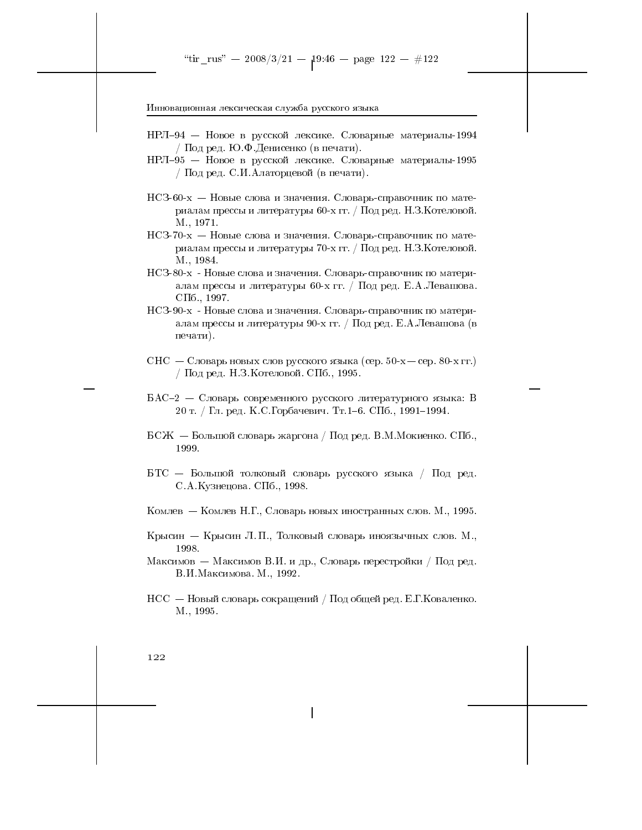- НРЛ-94 Новое в русской лексике. Словарные материалы-1994 / Под ред. Ю.Ф. Денисенко (в печати).
- НРЛ-95 Новое в русской лексике. Словарные материалы-1995 / Под ред. С.И. Алаторцевой (в печати).
- $HC3-60-x H$ овые слова и значения. Словарь-справочник по материалам прессы и литературы 60-х гг. / Под ред. Н.З.Котеловой. M., 1971.
- НСЗ-70-х Новые слова и значения. Словарь-справочник по материалам прессы и литературы 70-х гг. / Под ред. Н.З.Котеловой. M., 1984.
- НСЗ-80-х Новые слова и значения. Словарь-справочник по материалам прессы и литературы 60-х гг. / Под ред. Е.А.Левашова.  $\text{C}\Pi$ <sup>6</sup>, 1997.
- НСЗ-90-х Новые слова и значения. Словарь-справочник по материалам прессы и литературы 90-х гг. / Под ред. Е.А.Левашова (в печати).
- $CHC C_{JOBapp}$  новых слов русского языка (сер. 50-х сер. 80-х гг.) / Под ред. Н.З. Котеловой. СПб., 1995.
- $BAC-2 C_{J0B}$ арь современного русского литературного языка: В 20 т. / Гл. ред. К.С. Горбачевич. Тт. 1-6. СПб., 1991-1994.
- $\rm ECK E$ ольшой словарь жаргона / Под ред. В.М.Мокиенко. СПб., 1999.
- БТС Большой толковый словарь русского языка / Под ред. С. А. Кузнецова. СПб., 1998.
- Комлев Комлев Н.Г., Словарь новых иностранных слов. М., 1995.
- Крысин Крысин Л.П., Толковый словарь иноязычных слов. М., 1998.
- Максимов Максимов В.И. и др., Словарь перестройки / Под ред. В.И. Максимова. М., 1992.
- $HCC H$ овый словарь сокращений / Под общей ред. Е.Г. Коваленко. M., 1995.